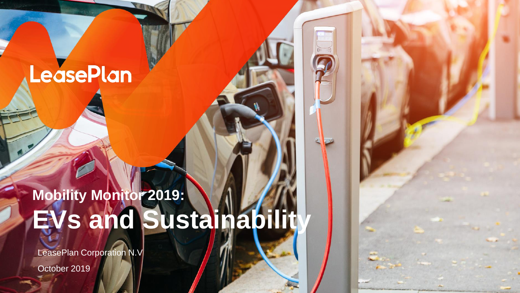# LeasePlan

# **Mobility Monitor 2019: EVs and Sustainability**

LeasePlan Corporation N.V

October 2019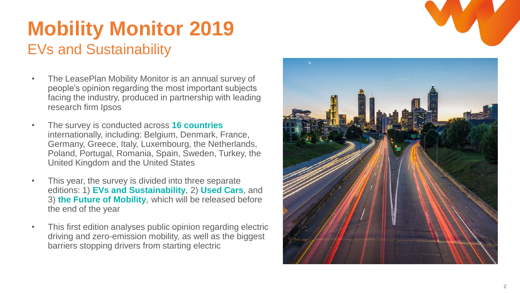## **Mobility Monitor 2019** EVs and Sustainability

- The LeasePlan Mobility Monitor is an annual survey of people's opinion regarding the most important subjects facing the industry, produced in partnership with leading research firm Ipsos
- The survey is conducted across **16 countries**  internationally, including: Belgium, Denmark, France, Germany, Greece, Italy, Luxembourg, the Netherlands, Poland, Portugal, Romania, Spain, Sweden, Turkey, the United Kingdom and the United States
- This year, the survey is divided into three separate editions: 1) **EVs and Sustainability**, 2) **Used Cars**, and 3) **the Future of Mobility**, which will be released before the end of the year
- This first edition analyses public opinion regarding electric driving and zero -emission mobility, as well as the biggest barriers stopping drivers from starting electric

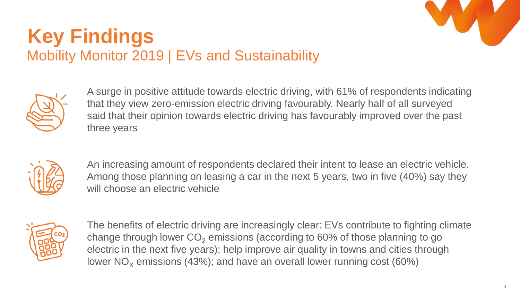

## **Key Findings** Mobility Monitor 2019 | EVs and Sustainability



A surge in positive attitude towards electric driving, with 61% of respondents indicating that they view zero-emission electric driving favourably. Nearly half of all surveyed said that their opinion towards electric driving has favourably improved over the past three years



An increasing amount of respondents declared their intent to lease an electric vehicle. Among those planning on leasing a car in the next 5 years, two in five (40%) say they will choose an electric vehicle



The benefits of electric driving are increasingly clear: EVs contribute to fighting climate change through lower  $CO<sub>2</sub>$  emissions (according to 60% of those planning to go electric in the next five years); help improve air quality in towns and cities through lower  $NO<sub>x</sub>$  emissions (43%); and have an overall lower running cost (60%)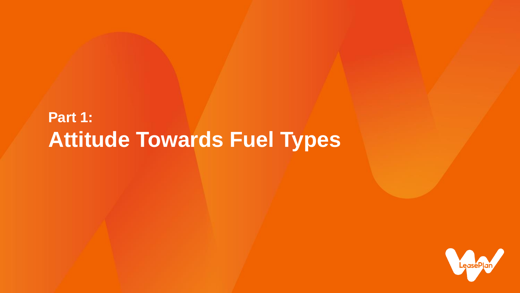## **Part 1: Attitude Towards Fuel Types**

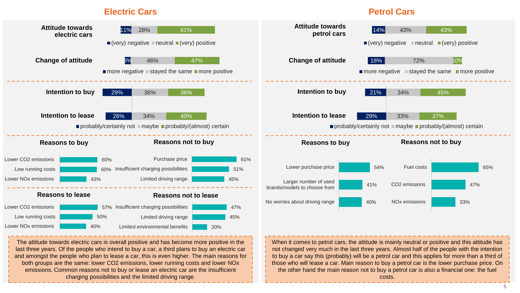#### **Electric Cars**

#### **Petrol Cars**

not changed very much in the last three years. Almost half of the people with the intention to buy a car say this (probably) will be a petrol car and this applies for more than a third of those who will lease a car. Main reason to buy a petrol car is the lower purchase price. On the other hand the main reason not to buy a petrol car is also a financial one: the fuel costs.



The attitude towards electric cars is overall positive and has become more positive in the last three years. Of the people who intend to buy a car, a third plans to buy an electric car and amongst the people who plan to lease a car, this is even higher. The main reasons for both groups are the same: lower CO2 emissions, lower running costs and lower NOx emissions. Common reasons not to buy or lease an electric car are the insufficient charging possibilities and the limited driving range.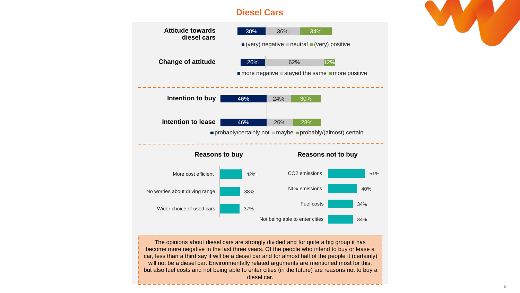### **Diesel Cars**



The opinions about diesel cars are strongly divided and for quite a big group it has become more negative in the last three years. Of the people who intend to buy or lease a car, less than a third say it will be a diesel car and for almost half of the people it (certainly) will not be a diesel car. Environmentally related arguments are mentioned most for this, but also fuel costs and not being able to enter cities (in the future) are reasons not to buy a diesel car.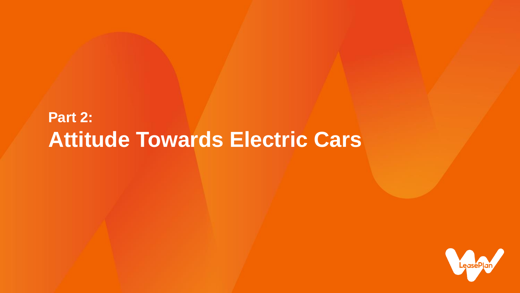## **Part 2: Attitude Towards Electric Cars**

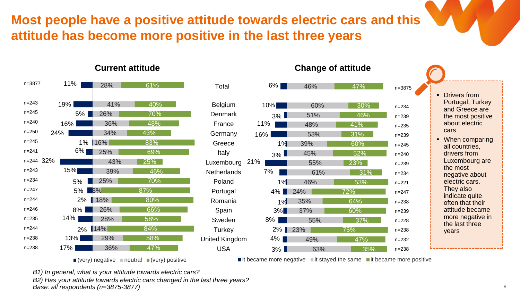## **Most people have a positive attitude towards electric cars and this attitude has become more positive in the last three years**

#### 11% 19% 5% 16% 24% 1% 16%  $6\%$ 32% n=244 15% 5% 5% 2% 18%  $8\%$ 14% 2% 14% 13% 17% 28% 41% 26% 36% 34% 25% 43% 39% 25% 8% 26% 28% 29% 36% 61% 40% 70% 48% 43% 83% 69% 25% 46% 70% 87% 80% 66% 58% 84% 58% 47% n=3877 n=243 n=245 n=240 n=250 n=245 n=241 n=243 n=234 n=247 n=244 n=246 n=235  $n = 244$ n=238 n=238

21% Belgium Denmark France Germany Greece Italy Luxembourg **Netherlands** Poland Portugal Romania **Spain** Sweden **Turkey** United Kingdom USA Total

8% 2% 4% 3%



55%

49% 63%

23%

### **Current attitude Current attitude Change of attitude**

■ Drivers from Portugal, Turkey and Greece are the most positive about electric cars ■ When comparing all countries, drivers from Luxembourg are the most negative about electric cars. They also indicate quite often that their attitude became more negative in the last three years

 $\blacksquare$  it became more negative  $\blacksquare$  it stayed the same  $\blacksquare$  it became more positive

37%

n=3875

n=234 n=239 n=235 n=239 n=245 n=240 n=239 n=234 n=221 n=247 n=238 n=239 n=228 n=238 n=232 n=238

47% 35%

75%

*B1) In general, what is your attitude towards electric cars?*

*B2) Has your attitude towards electric cars changed in the last three years?*

 $\blacksquare$  (very) negative  $\blacksquare$  neutral  $\blacksquare$  (very) positive

*Base: all respondents (n=3875-3877)*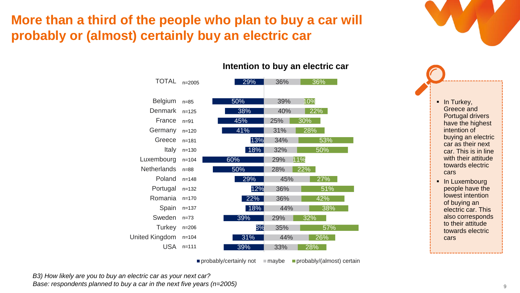## **More than a third of the people who plan to buy a car will probably or (almost) certainly buy an electric car**

| TOTAL              | $n = 2005$ | 29%<br>36%        | 36% |
|--------------------|------------|-------------------|-----|
| <b>Belgium</b>     | $n = 85$   | 10%<br>50%<br>39% |     |
| Denmark            | $n = 125$  | 38%<br>40%        | 22% |
| France             | $n = 91$   | 45%<br>30%<br>25% |     |
| Germany            | $n = 120$  | 41%<br>28%<br>31% |     |
| Greece             | $n = 181$  | 13%<br>34%        | 53% |
| Italy              | $n = 130$  | 18%<br>32%        | 50% |
| Luxembourg         | $n = 104$  | 60%<br>11%<br>29% |     |
| <b>Netherlands</b> | $n = 88$   | 50%<br>22%<br>28% |     |
| Poland             | $n = 148$  | 29%<br>45%        | 27% |
| Portugal           | $n = 132$  | 12%<br>36%        | 51% |
| Romania            | $n = 170$  | 22%<br>36%        | 42% |
| Spain              | $n = 137$  | 18%<br>44%        | 38% |
| Sweden             | $n = 73$   | 39%<br>29%<br>32% |     |
| Turkey             | $n = 206$  | 8%<br>35%         | 57% |
| United Kingdom     | $n = 104$  | 31%<br>44%        | 26% |
| <b>USA</b>         | $n = 111$  | 39%<br>33%<br>28% |     |
|                    |            |                   |     |

#### **Intention to buy an electric car**

probably/certainly not  $\Box$  maybe  $\Box$  probably/(almost) certain

*B3) How likely are you to buy an electric car as your next car? Base: respondents planned to buy a car in the next five years (n=2005)* 

**·** In Turkey, Greece and Portugal drivers have the highest intention of buying an electric car as their next car. This is in line with their attitude towards electric cars

**•** In Luxembourg people have the lowest intention of buying an electric car. This also corresponds to their attitude towards electric cars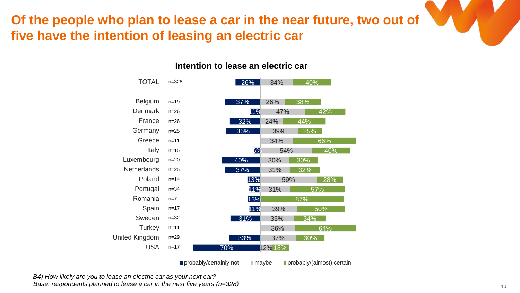## **Of the people who plan to lease a car in the near future, two out of five have the intention of leasing an electric car**

### **Intention to lease an electric car**

| <b>TOTAL</b>       | $n = 328$ | 26% | 34%             | 40% |
|--------------------|-----------|-----|-----------------|-----|
| <b>Belgium</b>     | $n = 19$  | 37% | 26%             | 38% |
| Denmark            | $n = 26$  | 11% | 47%             | 42% |
| France             | $n = 26$  | 32% | 24%             | 44% |
| Germany            | $n = 25$  | 36% | 39%             | 25% |
| Greece             | $n = 11$  |     | 34%             | 66% |
| Italy              | $n = 15$  | 5%  | 54%             | 40% |
| Luxembourg         | $n = 20$  | 40% | 30%             | 30% |
| <b>Netherlands</b> | $n = 25$  | 37% | 31%             | 32% |
| Poland             | $n = 14$  | 13% | 59%             | 28% |
| Portugal           | $n = 34$  | 11% | 31%             | 57% |
| Romania            | $n=7$     | 13% |                 | 87% |
| Spain              | $n = 17$  | 11% | 39%             | 50% |
| Sweden             | $n = 32$  | 31% | 35%             | 34% |
| Turkey             | $n = 11$  |     | 36%             | 64% |
| United Kingdom     | $n = 29$  | 33% | 37%             | 30% |
| <b>USA</b>         | $n = 17$  | 70% | <u>12% 18% </u> |     |

probably/certainly not  $m = m$ aybe probably/(almost) certain

*B4) How likely are you to lease an electric car as your next car? Base: respondents planned to lease a car in the next five years (n=328)*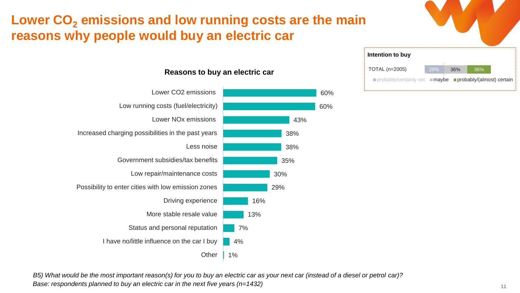## **Lower CO<sup>2</sup> emissions and low running costs are the main reasons why people would buy an electric car**



#### 60% 60% 43% 38% 38% 35% 30% 29% 16% 13% 7% 4% 1% Lower CO2 emissions Low running costs (fuel/electricity) Lower NOx emissions Increased charging possibilities in the past years Less noise Government subsidies/tax benefits Low repair/maintenance costs Possibility to enter cities with low emission zones Driving experience More stable resale value Status and personal reputation I have no/little influence on the car I buy **Other**

#### **Reasons to buy an electric car**

*B5) What would be the most important reason(s) for you to buy an electric car as your next car (instead of a diesel or petrol car)? Base: respondents planned to buy an electric car in the next five years (n=1432)*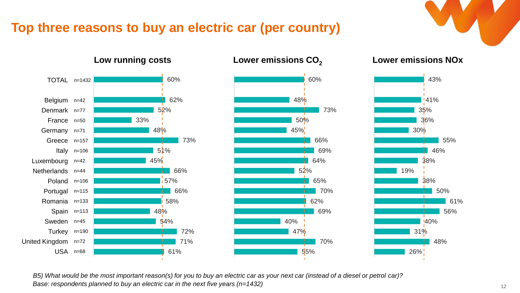### **Top three reasons to buy an electric car (per country)**

61%



USA n=68







*B5) What would be the most important reason(s) for you to buy an electric car as your next car (instead of a diesel or petrol car)? Base: respondents planned to buy an electric car in the next five years (n=1432)*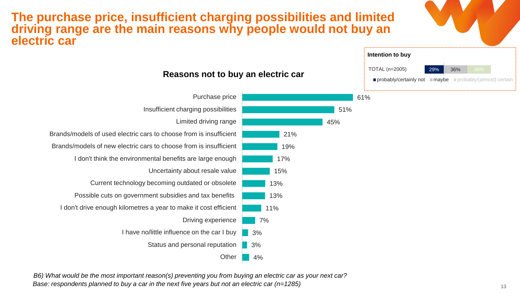### **The purchase price, insufficient charging possibilities and limited driving range are the main reasons why people would not buy an electric car**



*B6) What would be the most important reason(s) preventing you from buying an electric car as your next car? Base: respondents planned to buy a car in the next five years but not an electric car (n=1285)*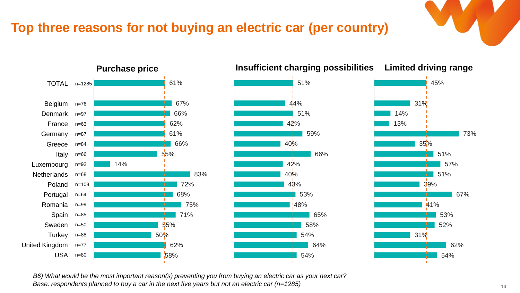### **Top three reasons for not buying an electric car (per country)**







*B6) What would be the most important reason(s) preventing you from buying an electric car as your next car? Base: respondents planned to buy a car in the next five years but not an electric car (n=1285)*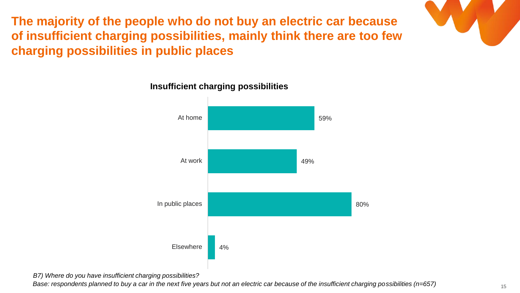**The majority of the people who do not buy an electric car because of insufficient charging possibilities, mainly think there are too few charging possibilities in public places**



#### **Insufficient charging possibilities**

*B7) Where do you have insufficient charging possibilities?*

*Base: respondents planned to buy a car in the next five years but not an electric car because of the insufficient charging possibilities (n=657)*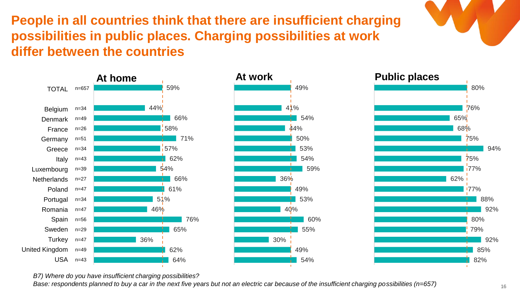**People in all countries think that there are insufficient charging possibilities in public places. Charging possibilities at work differ between the countries**







*B7) Where do you have insufficient charging possibilities?*

*Base: respondents planned to buy a car in the next five years but not an electric car because of the insufficient charging possibilities (n=657)*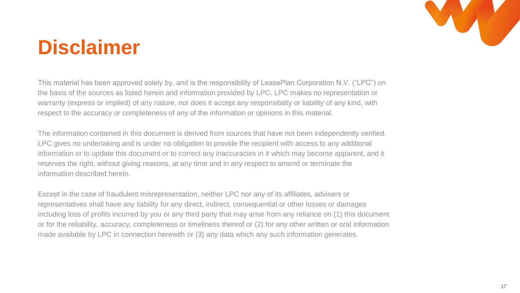

# **Disclaimer**

This material has been approved solely by, and is the responsibility of LeasePlan Corporation N.V. ("LPC") on the basis of the sources as listed herein and information provided by LPC. LPC makes no representation or warranty (express or implied) of any nature, nor does it accept any responsibility or liability of any kind, with respect to the accuracy or completeness of any of the information or opinions in this material.

The information contained in this document is derived from sources that have not been independently verified. LPC gives no undertaking and is under no obligation to provide the recipient with access to any additional information or to update this document or to correct any inaccuracies in it which may become apparent, and it reserves the right, without giving reasons, at any time and in any respect to amend or terminate the information described herein.

Except in the case of fraudulent misrepresentation, neither LPC nor any of its affiliates, advisers or representatives shall have any liability for any direct, indirect, consequential or other losses or damages including loss of profits incurred by you or any third party that may arise from any reliance on (1) this document or for the reliability, accuracy, completeness or timeliness thereof or (2) for any other written or oral information made available by LPC in connection herewith or (3) any data which any such information generates.